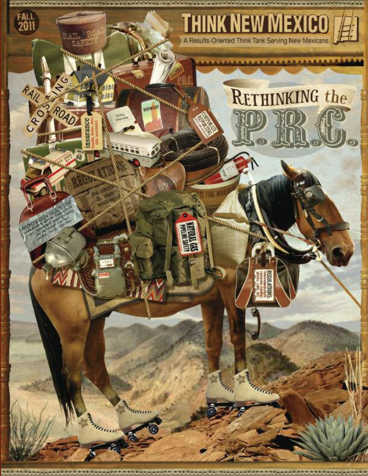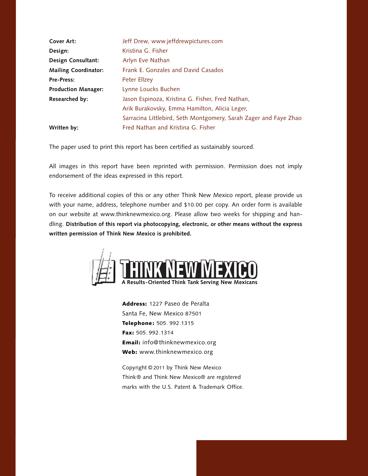| Cover Art:                  | Jeff Drew, www.jeffdrewpictures.com                              |
|-----------------------------|------------------------------------------------------------------|
| Design:                     | Kristina G. Fisher                                               |
| Design Consultant:          | Arlyn Eve Nathan                                                 |
| <b>Mailing Coordinator:</b> | Frank E. Gonzales and David Casados                              |
| <b>Pre-Press:</b>           | Peter Ellzey                                                     |
| <b>Production Manager:</b>  | Lynne Loucks Buchen                                              |
| Researched by:              | Jason Espinoza, Kristina G. Fisher, Fred Nathan,                 |
|                             | Arik Burakovsky, Emma Hamilton, Alicia Leger,                    |
|                             | Sarracina Littlebird, Seth Montgomery, Sarah Zager and Faye Zhao |
| Written by:                 | Fred Nathan and Kristina G. Fisher                               |

The paper used to print this report has been certified as sustainably sourced.

All images in this report have been reprinted with permission. Permission does not imply endorsement of the ideas expressed in this report.

To receive additional copies of this or any other Think New Mexico report, please provide us with your name, address, telephone number and \$10.00 per copy. An order form is available on our website at www.thinknewmexico.org. Please allow two weeks for shipping and handling. **Distribution of this report via photocopying, electronic, or other means without the express written permission of Think New Mexico is prohibited.**



**Address:** 1227 Paseo de Peralta Santa Fe, New Mexico 87501 **Telephone :** 505. 992.1315 **Fax:** 505. 992.1314 **Email:** info@thinknewmexico.org **Web:** www.thinknewmexico.org

Copyright © 2011 by Think New Mexico Think® and Think New Mexico® are registered marks with the U.S. Patent & Trademark Office.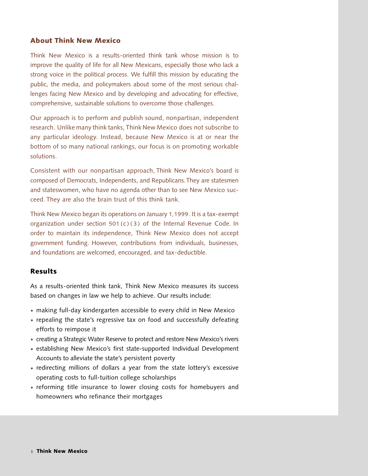## **About Think New Mexico**

Think New Mexico is a results-oriented think tank whose mission is to improve the quality of life for all New Mexicans, especially those who lack a strong voice in the political process. We fulfill this mission by educating the public, the media, and policymakers about some of the most serious challenges facing New Mexico and by developing and advocating for effective, comprehensive, sustainable solutions to overcome those challenges.

Our approach is to perform and publish sound, nonpartisan, independent research. Unlike many think tanks, Think New Mexico does not subscribe to any particular ideology. Instead, because New Mexico is at or near the bottom of so many national rankings, our focus is on promoting workable solutions.

Consistent with our nonpartisan approach, Think New Mexico's board is composed of Democrats, Independents, and Republicans.They are statesmen and stateswomen, who have no agenda other than to see New Mexico succeed. They are also the brain trust of this think tank.

Think New Mexico began its operations on January 1,1999. It is a tax-exempt organization under section 501(c)(3) of the Internal Revenue Code. In order to maintain its independence, Think New Mexico does not accept government funding. However, contributions from individuals, businesses, and foundations are welcomed, encouraged, and tax-deductible.

## **Results**

As a results-oriented think tank, Think New Mexico measures its success based on changes in law we help to achieve. Our results include:

- making full-day kindergarten accessible to every child in New Mexico **·**
- repealing the state's regressive tax on food and successfully defeating **·** efforts to reimpose it
- creating a Strategic Water Reserve to protect and restore New Mexico's rivers **·**
- establishing New Mexico's first state-supported Individual Development **·** Accounts to alleviate the state's persistent poverty
- redirecting millions of dollars a year from the state lottery's excessive **·** operating costs to full-tuition college scholarships
- reforming title insurance to lower closing costs for homebuyers and **·** homeowners who refinance their mortgages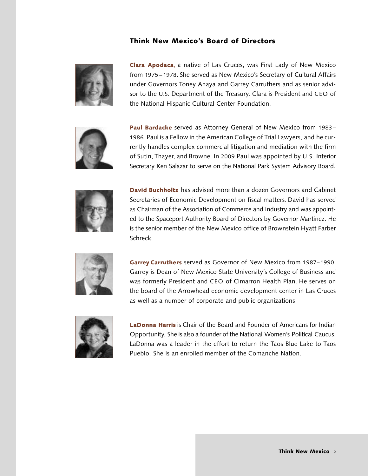## **Think New Mexico's Board of Directors**



**Clara Apodaca**, a native of Las Cruces, was First Lady of New Mexico from 1975 – 1978. She served as New Mexico's Secretary of Cultural Affairs under Governors Toney Anaya and Garrey Carruthers and as senior advisor to the U.S. Department of the Treasury. Clara is President and CEO of the National Hispanic Cultural Center Foundation.



**Paul Bardacke** served as Attorney General of New Mexico from 1983 – 1986. Paul is a Fellow in the American College of Trial Lawyers, and he currently handles complex commercial litigation and mediation with the firm of Sutin, Thayer, and Browne. In 2009 Paul was appointed by U.S. Interior Secretary Ken Salazar to serve on the National Park System Advisory Board.



**David Buchholtz** has advised more than a dozen Governors and Cabinet Secretaries of Economic Development on fiscal matters. David has served as Chairman of the Association of Commerce and Industry and was appointed to the Spaceport Authority Board of Directors by Governor Martinez. He is the senior member of the New Mexico office of Brownstein Hyatt Farber Schreck.



**Garrey Carruthers** served as Governor of New Mexico from 1987–1990. Garrey is Dean of New Mexico State University's College of Business and was formerly President and CEO of Cimarron Health Plan. He serves on the board of the Arrowhead economic development center in Las Cruces as well as a number of corporate and public organizations.



**LaDonna Harris** is Chair of the Board and Founder of Americans for Indian Opportunity. She is also a founder of the National Women's Political Caucus. LaDonna was a leader in the effort to return the Taos Blue Lake to Taos Pueblo. She is an enrolled member of the Comanche Nation.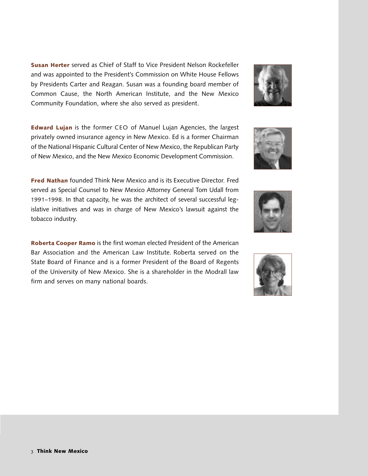**Susan Herter** served as Chief of Staff to Vice President Nelson Rockefeller and was appointed to the President's Commission on White House Fellows by Presidents Carter and Reagan. Susan was a founding board member of Common Cause, the North American Institute, and the New Mexico Community Foundation, where she also served as president.

**Edward Lujan** is the former CEO of Manuel Lujan Agencies, the largest privately owned insurance agency in New Mexico. Ed is a former Chairman of the National Hispanic Cultural Center of New Mexico, the Republican Party of New Mexico, and the New Mexico Economic Development Commission.

**Fred Nathan** founded Think New Mexico and is its Executive Director. Fred served as Special Counsel to New Mexico Attorney General Tom Udall from 1991–1998. In that capacity, he was the architect of several successful legislative initiatives and was in charge of New Mexico's lawsuit against the tobacco industry.

**Roberta Cooper Ramo** is the first woman elected President of the American Bar Association and the American Law Institute. Roberta served on the State Board of Finance and is a former President of the Board of Regents of the University of New Mexico. She is a shareholder in the Modrall law firm and serves on many national boards.







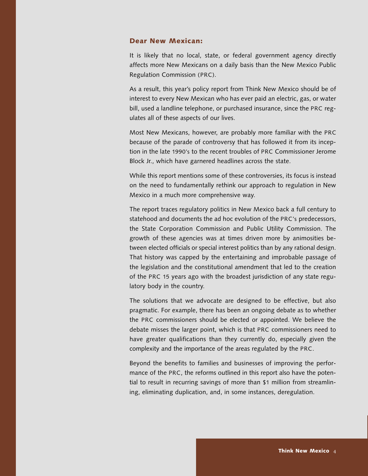#### **Dear New Mexican:**

It is likely that no local, state, or federal government agency directly affects more New Mexicans on a daily basis than the New Mexico Public Regulation Commission (PRC).

As a result, this year's policy report from Think New Mexico should be of interest to every New Mexican who has ever paid an electric, gas, or water bill, used a landline telephone, or purchased insurance, since the PRC regulates all of these aspects of our lives.

Most New Mexicans, however, are probably more familiar with the PRC because of the parade of controversy that has followed it from its inception in the late 1990's to the recent troubles of PRC Commissioner Jerome Block Jr., which have garnered headlines across the state.

While this report mentions some of these controversies, its focus is instead on the need to fundamentally rethink our approach to regulation in New Mexico in a much more comprehensive way.

The report traces regulatory politics in New Mexico back a full century to statehood and documents the ad hoc evolution of the PRC's predecessors, the State Corporation Commission and Public Utility Commission. The growth of these agencies was at times driven more by animosities between elected officials or special interest politics than by any rational design. That history was capped by the entertaining and improbable passage of the legislation and the constitutional amendment that led to the creation of the PRC 15 years ago with the broadest jurisdiction of any state regulatory body in the country.

The solutions that we advocate are designed to be effective, but also pragmatic. For example, there has been an ongoing debate as to whether the PRC commissioners should be elected or appointed. We believe the debate misses the larger point, which is that PRC commissioners need to have greater qualifications than they currently do, especially given the complexity and the importance of the areas regulated by the PRC.

Beyond the benefits to families and businesses of improving the performance of the PRC, the reforms outlined in this report also have the potential to result in recurring savings of more than \$1 million from streamlining, eliminating duplication, and, in some instances, deregulation.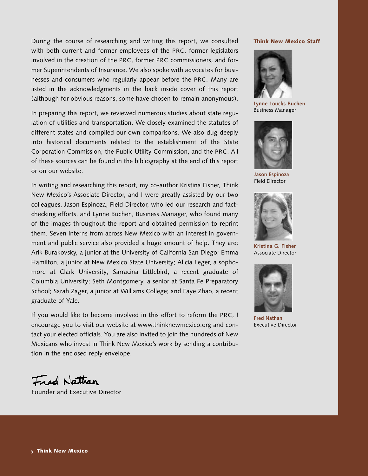During the course of researching and writing this report, we consulted with both current and former employees of the PRC, former legislators involved in the creation of the PRC, former PRC commissioners, and former Superintendents of Insurance. We also spoke with advocates for businesses and consumers who regularly appear before the PRC. Many are listed in the acknowledgments in the back inside cover of this report (although for obvious reasons, some have chosen to remain anonymous).

In preparing this report, we reviewed numerous studies about state regulation of utilities and transportation. We closely examined the statutes of different states and compiled our own comparisons. We also dug deeply into historical documents related to the establishment of the State Corporation Commission, the Public Utility Commission, and the PRC. All of these sources can be found in the bibliography at the end of this report or on our website.

In writing and researching this report, my co-author Kristina Fisher, Think New Mexico's Associate Director, and I were greatly assisted by our two colleagues, Jason Espinoza, Field Director, who led our research and factchecking efforts, and Lynne Buchen, Business Manager, who found many of the images throughout the report and obtained permission to reprint them. Seven interns from across New Mexico with an interest in government and public service also provided a huge amount of help. They are: Arik Burakovsky, a junior at the University of California San Diego; Emma Hamilton, a junior at New Mexico State University; Alicia Leger, a sophomore at Clark University; Sarracina Littlebird, a recent graduate of Columbia University; Seth Montgomery, a senior at Santa Fe Preparatory School; Sarah Zager, a junior at Williams College; and Faye Zhao, a recent graduate of Yale.

If you would like to become involved in this effort to reform the PRC, I encourage you to visit our website at www.thinknewmexico.org and contact your elected officials. You are also invited to join the hundreds of New Mexicans who invest in Think New Mexico's work by sending a contribution in the enclosed reply envelope.

#### **Think New Mexico Staff**



**Lynne Loucks Buchen** Business Manager



**Jason Espinoza** Field Director



**Kristina G. Fisher** Associate Director



**Fred Nathan** Executive Director

*Fred Nathan* 

Founder and Executive Director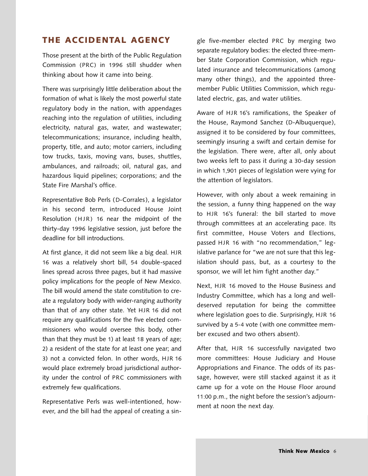## **THE ACCIDENTAL AGENCY**

Those present at the birth of the Public Regulation Commission (PRC) in 1996 still shudder when thinking about how it came into being.

There was surprisingly little deliberation about the formation of what is likely the most powerful state regulatory body in the nation, with appendages reaching into the regulation of utilities, including electricity, natural gas, water, and wastewater; telecommunications; insurance, including health, property, title, and auto; motor carriers, including tow trucks, taxis, moving vans, buses, shuttles, ambulances, and railroads; oil, natural gas, and hazardous liquid pipelines; corporations; and the State Fire Marshal's office.

Representative Bob Perls (D-Corrales), a legislator in his second term, introduced House Joint Resolution  $(HJR)$  16 near the midpoint of the thirty-day 1996 legislative session, just before the deadline for bill introductions.

At first glance, it did not seem like a big deal. HJR 16 was a relatively short bill, 54 double-spaced lines spread across three pages, but it had massive policy implications for the people of New Mexico. The bill would amend the state constitution to create a regulatory body with wider-ranging authority than that of any other state. Yet HJR 16 did not require any qualifications for the five elected commissioners who would oversee this body, other than that they must be 1) at least 18 years of age; 2) a resident of the state for at least one year; and 3) not a convicted felon. In other words, HJR 16 would place extremely broad jurisdictional authority under the control of PRC commissioners with extremely few qualifications.

Representative Perls was well-intentioned, however, and the bill had the appeal of creating a single five-member elected PRC by merging two separate regulatory bodies: the elected three-member State Corporation Commission, which regulated insurance and telecommunications (among many other things), and the appointed threemember Public Utilities Commission, which regulated electric, gas, and water utilities.

Aware of HJR 16's ramifications, the Speaker of the House, Raymond Sanchez (D-Albuquerque), assigned it to be considered by four committees, seemingly insuring a swift and certain demise for the legislation. There were, after all, only about two weeks left to pass it during a 30-day session in which 1,901 pieces of legislation were vying for the attention of legislators.

However, with only about a week remaining in the session, a funny thing happened on the way to HJR 16's funeral: the bill started to move through committees at an accelerating pace. Its first committee, House Voters and Elections, passed HJR 16 with "no recommendation," legislative parlance for "we are not sure that this legislation should pass, but, as a courtesy to the sponsor, we will let him fight another day."

Next, HJR 16 moved to the House Business and Industry Committee, which has a long and welldeserved reputation for being the committee where legislation goes to die. Surprisingly, HJR 16 survived by a 5-4 vote (with one committee member excused and two others absent).

After that, HJR 16 successfully navigated two more committees: House Judiciary and House Appropriations and Finance. The odds of its passage, however, were still stacked against it as it came up for a vote on the House Floor around 11:00 p.m., the night before the session's adjournment at noon the next day.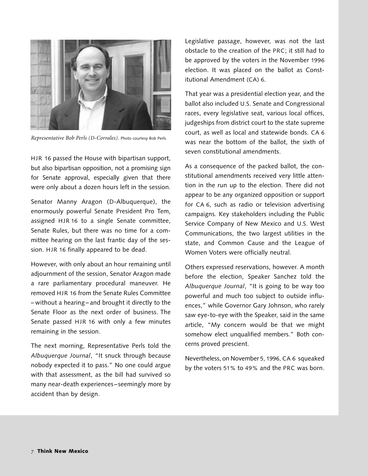

*Representative Bob Perls (D-Corrales).* Photo courtesy Bob Perls.

HJR 16 passed the House with bipartisan support, but also bipartisan opposition, not a promising sign for Senate approval, especially given that there were only about a dozen hours left in the session.

Senator Manny Aragon (D-Albuquerque), the enormously powerful Senate President Pro Tem, assigned HJR 16 to a single Senate committee, Senate Rules, but there was no time for a committee hearing on the last frantic day of the session. HJR 16 finally appeared to be dead.

However, with only about an hour remaining until adjournment of the session, Senator Aragon made a rare parliamentary procedural maneuver. He removed HJR 16 from the Senate Rules Committee – without a hearing– and brought it directly to the Senate Floor as the next order of business. The Senate passed HJR 16 with only a few minutes remaining in the session.

The next morning, Representative Perls told the *Albuquerque Journal*, "It snuck through because nobody expected it to pass." No one could argue with that assessment, as the bill had survived so many near-death experiences – seemingly more by accident than by design.

Legislative passage, however, was not the last obstacle to the creation of the PRC; it still had to be approved by the voters in the November 1996 election. It was placed on the ballot as Constitutional Amendment (CA) 6.

That year was a presidential election year, and the ballot also included U.S. Senate and Congressional races, every legislative seat, various local offices, judgeships from district court to the state supreme court, as well as local and statewide bonds. CA 6 was near the bottom of the ballot, the sixth of seven constitutional amendments.

As a consequence of the packed ballot, the constitutional amendments received very little attention in the run up to the election. There did not appear to be any organized opposition or support for CA 6, such as radio or television advertising campaigns. Key stakeholders including the Public Service Company of New Mexico and U.S. West Communications, the two largest utilities in the state, and Common Cause and the League of Women Voters were officially neutral.

Others expressed reservations, however. A month before the election, Speaker Sanchez told the *Albuquerque Journal*, "It is going to be way too powerful and much too subject to outside influences," while Governor Gary Johnson, who rarely saw eye-to-eye with the Speaker, said in the same article, "My concern would be that we might somehow elect unqualified members." Both concerns proved prescient.

Nevertheless, on November 5, 1996, CA 6 squeaked by the voters 51% to 49% and the PRC was born.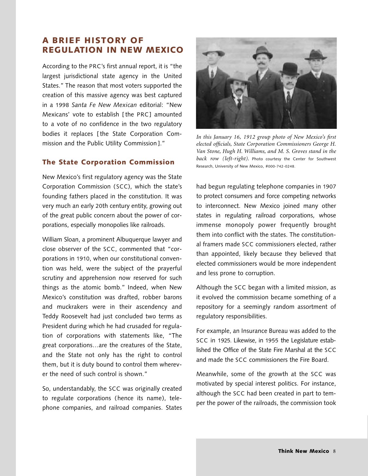## **A BRIEF HISTORY OF REGULATION IN NEW MEXICO**

According to the PRC's first annual report, it is "the largest jurisdictional state agency in the United States." The reason that most voters supported the creation of this massive agency was best captured in a 1998 *Santa Fe New Mexican* editorial: "New Mexicans' vote to establish [ the PRC] amounted to a vote of no confidence in the two regulatory bodies it replaces [ the State Corporation Commission and the Public Utility Commission ]."

## **The State Corporation Commission**

New Mexico's first regulatory agency was the State Corporation Commission ( SCC), which the state's founding fathers placed in the constitution. It was very much an early 20th century entity, growing out of the great public concern about the power of corporations, especially monopolies like railroads.

William Sloan, a prominent Albuquerque lawyer and close observer of the SCC, commented that "corporations in 1910, when our constitutional convention was held, were the subject of the prayerful scrutiny and apprehension now reserved for such things as the atomic bomb." Indeed, when New Mexico's constitution was drafted, robber barons and muckrakers were in their ascendency and Teddy Roosevelt had just concluded two terms as President during which he had crusaded for regulation of corporations with statements like, "The great corporations…are the creatures of the State, and the State not only has the right to control them, but it is duty bound to control them wherever the need of such control is shown."

So, understandably, the SCC was originally created to regulate corporations (hence its name), telephone companies, and railroad companies. States



*In this January 16, 1912 group photo of New Mexico's first elected officials, State Corporation Commissioners George H. Van Stone, Hugh H. Williams, and M. S. Groves stand in the back row (left-right).* Photo courtesy the Center for Southwest Research, University of New Mexico, #000-742-0248.

had begun regulating telephone companies in 1907 to protect consumers and force competing networks to interconnect. New Mexico joined many other states in regulating railroad corporations, whose immense monopoly power frequently brought them into conflict with the states. The constitutional framers made SCC commissioners elected, rather than appointed, likely because they believed that elected commissioners would be more independent and less prone to corruption.

Although the SCC began with a limited mission, as it evolved the commission became something of a repository for a seemingly random assortment of regulatory responsibilities.

For example, an Insurance Bureau was added to the SCC in 1925. Likewise, in 1955 the Legislature established the Office of the State Fire Marshal at the SCC and made the SCC commissioners the Fire Board.

Meanwhile, some of the growth at the SCC was motivated by special interest politics. For instance, although the SCC had been created in part to temper the power of the railroads, the commission took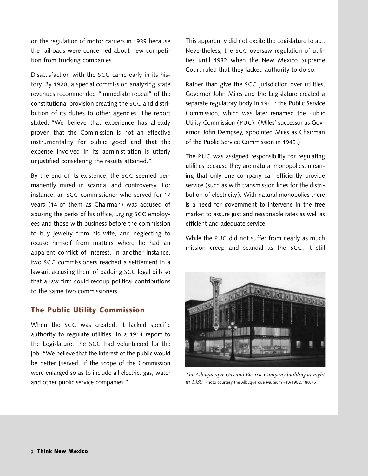on the regulation of motor carriers in 1939 because the railroads were concerned about new competition from trucking companies.

Dissatisfaction with the SCC came early in its history. By 1920, a special commission analyzing state revenues recommended "immediate repeal" of the constitutional provision creating the SCC and distribution of its duties to other agencies. The report stated: "We believe that experience has already proven that the Commission is not an effective instrumentality for public good and that the expense involved in its administration is utterly unjustified considering the results attained."

By the end of its existence, the SCC seemed permanently mired in scandal and controversy. For instance, an SCC commissioner who served for 17 years (14 of them as Chairman) was accused of abusing the perks of his office, urging SCC employees and those with business before the commission to buy jewelry from his wife, and neglecting to recuse himself from matters where he had an apparent conflict of interest. In another instance, two SCC commissioners reached a settlement in a lawsuit accusing them of padding SCC legal bills so that a law firm could recoup political contributions to the same two commissioners.

## **The Public Utility Commission**

When the SCC was created, it lacked specific authority to regulate utilities. In a 1914 report to the Legislature, the SCC had volunteered for the job: "We believe that the interest of the public would be better [served] if the scope of the Commission were enlarged so as to include all electric, gas, water and other public service companies."

This apparently did not excite the Legislature to act. Nevertheless, the SCC oversaw regulation of utilities until 1932 when the New Mexico Supreme Court ruled that they lacked authority to do so.

Rather than give the SCC jurisdiction over utilities, Governor John Miles and the Legislature created a separate regulatory body in 1941: the Public Service Commission, which was later renamed the Public Utility Commission (PUC). (Miles' successor as Governor, John Dempsey, appointed Miles as Chairman of the Public Service Commission in 1943.)

The PUC was assigned responsibility for regulating utilities because they are natural monopolies, meaning that only one company can efficiently provide service (such as with transmission lines for the distribution of electricity). With natural monopolies there is a need for government to intervene in the free market to assure just and reasonable rates as well as efficient and adequate service.

While the PUC did not suffer from nearly as much mission creep and scandal as the SCC, it still



*The Albuquerque Gas and Electric Company building at night in 1930.* Photo courtesy the Albuquerque Museum #PA1982.180.75.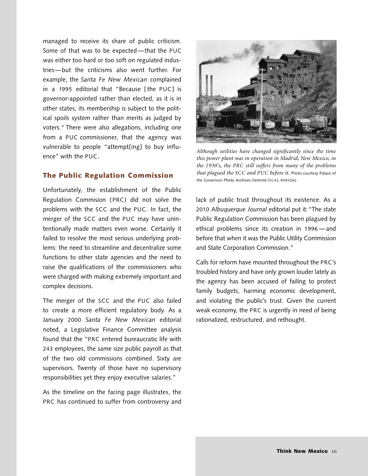managed to receive its share of public criticism. Some of that was to be expected—that the PUC was either too hard or too soft on regulated industries—but the criticisms also went further. For example, the *Santa Fe New Mexican* complained in a 1995 editorial that "Because [ the PUC] is governor-appointed rather than elected, as it is in other states, its membership is subject to the political spoils system rather than merits as judged by voters." There were also allegations, including one from a PUC commissioner, that the agency was vulnerable to people "attempt[ing] to buy influence" with the PUC.

## **The Public Regulation Commission**

Unfortunately, the establishment of the Public Regulation Commision (PRC) did not solve the problems with the SCC and the PUC. In fact, the merger of the SCC and the PUC may have unintentionally made matters even worse. Certainly it failed to resolve the most serious underlying problems: the need to streamline and decentralize some functions to other state agencies and the need to raise the qualifications of the commissioners who were charged with making extremely important and complex decisions.

The merger of the SCC and the PUC also failed to create a more efficient regulatory body. As a January 2000 *Santa Fe New Mexican* editorial noted, a Legislative Finance Committee analysis found that the "PRC entered bureaucratic life with 243 employees, the same size public payroll as that of the two old commissions combined. Sixty are supervisors. Twenty of those have no supervisory responsibilities yet they enjoy executive salaries."

As the timeline on the facing page illustrates, the PRC has continued to suffer from controversy and



*Although utilities have changed significantly since the time this power plant was in operation in Madrid, New Mexico, in the 1930's, the PRC still suffers from many of the problems that plagued the SCC and PUC before it.* Photo courtesy Palace of the Governors Photo Archives (NMHM/DCA), #054262.

lack of public trust throughout its existence. As a 2010 *Albuquerque Journal* editorial put it:"The state Public Regulation Commission has been plagued by ethical problems since its creation in 1996 — and before that when it was the Public Utility Commission and State Corporation Commission."

Calls for reform have mounted throughout the PRC's troubled history and have only grown louder lately as the agency has been accused of failing to protect family budgets, harming economic development, and violating the public's trust. Given the current weak economy, the PRC is urgently in need of being rationalized, restructured, and rethought.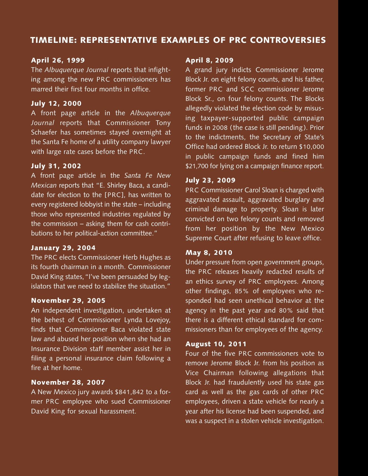# **TIMELINE: REPRESENTATIVE EXAMPLES OF PRC CONTROVERSIES**

## **April 26, 1999**

The *Albuquerque Journal* reports that infighting among the new PRC commissioners has marred their first four months in office.

## **July 12, 2000**

A front page article in the *Albuquerque Journal* reports that Commissioner Tony Schaefer has sometimes stayed overnight at the Santa Fe home of a utility company lawyer with large rate cases before the PRC.

## **July 31, 2002**

A front page article in the *Santa Fe New Mexican* reports that "E. Shirley Baca, a candidate for election to the [PRC], has written to every registered lobbyist in the state – including those who represented industries regulated by the commission – asking them for cash contributions to her political-action committee."

## **January 29, 2004**

The PRC elects Commissioner Herb Hughes as its fourth chairman in a month. Commissioner David King states,"I've been persuaded by legislators that we need to stabilize the situation."

## **November 29, 2005**

An independent investigation, undertaken at the behest of Commissioner Lynda Lovejoy, finds that Commissioner Baca violated state law and abused her position when she had an Insurance Division staff member assist her in filing a personal insurance claim following a fire at her home.

## **November 28, 2007**

A New Mexico jury awards \$841,842 to a former PRC employee who sued Commissioner David King for sexual harassment.

## **April 8, 2009**

A grand jury indicts Commissioner Jerome Block Jr. on eight felony counts, and his father, former PRC and SCC commissioner Jerome Block Sr., on four felony counts. The Blocks allegedly violated the election code by misusing taxpayer-supported public campaign funds in 2008 (the case is still pending). Prior to the indictments, the Secretary of State's Office had ordered Block Jr. to return \$10,000 in public campaign funds and fined him \$21,700 for lying on a campaign finance report.

## **July 23, 2009**

PRC Commissioner Carol Sloan is charged with aggravated assault, aggravated burglary and criminal damage to property. Sloan is later convicted on two felony counts and removed from her position by the New Mexico Supreme Court after refusing to leave office.

## **May 8, 2010**

Under pressure from open government groups, the PRC releases heavily redacted results of an ethics survey of PRC employees. Among other findings, 85% of employees who responded had seen unethical behavior at the agency in the past year and 80% said that there is a different ethical standard for commissioners than for employees of the agency.

## **August 10, 2011**

Four of the five PRC commissioners vote to remove Jerome Block Jr. from his position as Vice Chairman following allegations that Block Jr. had fraudulently used his state gas card as well as the gas cards of other PRC employees, driven a state vehicle for nearly a year after his license had been suspended, and was a suspect in a stolen vehicle investigation.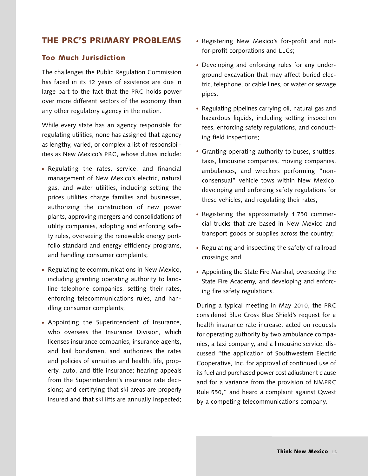## **THE PRC'S PRIMARY PROBLEMS**

#### **Too Much Jurisdiction**

The challenges the Public Regulation Commission has faced in its 12 years of existence are due in large part to the fact that the PRC holds power over more different sectors of the economy than any other regulatory agency in the nation.

While every state has an agency responsible for regulating utilities, none has assigned that agency as lengthy, varied, or complex a list of responsibilities as New Mexico's PRC, whose duties include:

- Regulating the rates, service, and financial **·** management of New Mexico's electric, natural gas, and water utilities, including setting the prices utilities charge families and businesses, authorizing the construction of new power plants, approving mergers and consolidations of utility companies, adopting and enforcing safety rules, overseeing the renewable energy portfolio standard and energy efficiency programs, and handling consumer complaints;
- Regulating telecommunications in New Mexico, **·** including granting operating authority to landline telephone companies, setting their rates, enforcing telecommunications rules, and handling consumer complaints;
- Appointing the Superintendent of Insurance, **·** who oversees the Insurance Division, which licenses insurance companies, insurance agents, and bail bondsmen, and authorizes the rates and policies of annuities and health, life, property, auto, and title insurance; hearing appeals from the Superintendent's insurance rate decisions; and certifying that ski areas are properly insured and that ski lifts are annually inspected;
- Registering New Mexico's for-profit and not-**·** for-profit corporations and LLCs;
- Developing and enforcing rules for any under-**·** ground excavation that may affect buried electric, telephone, or cable lines, or water or sewage pipes;
- Regulating pipelines carrying oil, natural gas and **·** hazardous liquids, including setting inspection fees, enforcing safety regulations, and conducting field inspections;
- Granting operating authority to buses, shuttles, **·** taxis, limousine companies, moving companies, ambulances, and wreckers performing "nonconsensual" vehicle tows within New Mexico, developing and enforcing safety regulations for these vehicles, and regulating their rates;
- Registering the approximately 1,750 commer-**·** cial trucks that are based in New Mexico and transport goods or supplies across the country;
- Regulating and inspecting the safety of railroad **·** crossings; and
- Appointing the State Fire Marshal, overseeing the **·**State Fire Academy, and developing and enforcing fire safety regulations.

During a typical meeting in May 2010, the PRC considered Blue Cross Blue Shield's request for a health insurance rate increase, acted on requests for operating authority by two ambulance companies, a taxi company, and a limousine service, discussed "the application of Southwestern Electric Cooperative, Inc. for approval of continued use of its fuel and purchased power cost adjustment clause and for a variance from the provision of NMPRC Rule 550," and heard a complaint against Qwest by a competing telecommunications company.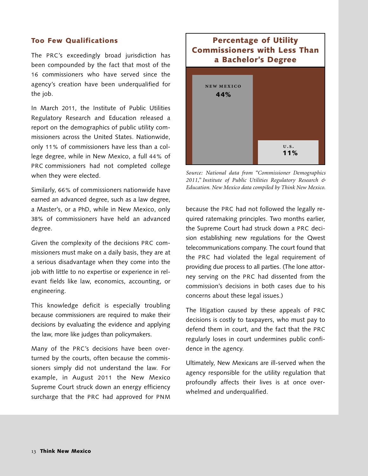#### **Too Few Qualifications**

The PRC's exceedingly broad jurisdiction has been compounded by the fact that most of the 16 commissioners who have served since the agency's creation have been underqualified for the job.

In March 2011, the Institute of Public Utilities Regulatory Research and Education released a report on the demographics of public utility commissioners across the United States. Nationwide, only 11% of commissioners have less than a college degree, while in New Mexico, a full 44% of PRC commissioners had not completed college when they were elected.

Similarly, 66% of commissioners nationwide have earned an advanced degree, such as a law degree, a Master's, or a PhD, while in New Mexico, only 38% of commissioners have held an advanced degree.

Given the complexity of the decisions PRC commissioners must make on a daily basis, they are at a serious disadvantage when they come into the job with little to no expertise or experience in relevant fields like law, economics, accounting, or engineering.

This knowledge deficit is especially troubling because commissioners are required to make their decisions by evaluating the evidence and applying the law, more like judges than policymakers.

Many of the PRC's decisions have been overturned by the courts, often because the commissioners simply did not understand the law. For example, in August 2011 the New Mexico Supreme Court struck down an energy efficiency surcharge that the PRC had approved for PNM

# **Percentage of Utility Commissioners with Less Than a Bachelor's Degree** NEW MEXICO **44%**

*Source: National data from "Commissioner Demographics 2011," Institute of Public Utilities Regulatory Research & Education. New Mexico data compiled by Think New Mexico.*

*<u>v*.s.</u>

**11%**

because the PRC had not followed the legally required ratemaking principles. Two months earlier, the Supreme Court had struck down a PRC decision establishing new regulations for the Qwest telecommunications company. The court found that the PRC had violated the legal requirement of providing due process to all parties. (The lone attorney serving on the PRC had dissented from the commission's decisions in both cases due to his concerns about these legal issues.)

The litigation caused by these appeals of PRC decisions is costly to taxpayers, who must pay to defend them in court, and the fact that the PRC regularly loses in court undermines public confidence in the agency.

Ultimately, New Mexicans are ill-served when the agency responsible for the utility regulation that profoundly affects their lives is at once overwhelmed and underqualified.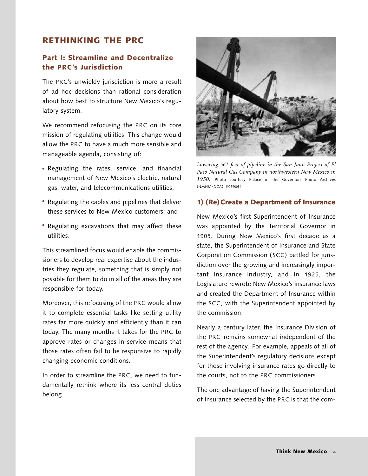## **RETHINKING THE PRC**

## **Part I: Streamline and Decentralize the PRC's Jurisdiction**

The PRC's unwieldy jurisdiction is more a result of ad hoc decisions than rational consideration about how best to structure New Mexico's regulatory system.

We recommend refocusing the PRC on its core mission of regulating utilities. This change would allow the PRC to have a much more sensible and manageable agenda, consisting of:

- Regulating the rates, service, and financial **·** management of New Mexico's electric, natural gas, water, and telecommunications utilities;
- **•** Regulating the cables and pipelines that deliver these services to New Mexico customers; and
- Regulating excavations that may affect these **·** utilities.

This streamlined focus would enable the commissioners to develop real expertise about the industries they regulate, something that is simply not possible for them to do in all of the areas they are responsible for today.

Moreover, this refocusing of the PRC would allow it to complete essential tasks like setting utility rates far more quickly and efficiently than it can today. The many months it takes for the PRC to approve rates or changes in service means that those rates often fail to be responsive to rapidly changing economic conditions.

In order to streamline the PRC, we need to fundamentally rethink where its less central duties belong.



*Lowering 561 feet of pipeline in the San Juan Project of El Paso Natural Gas Company in northwestern New Mexico in 1950.* Photo courtesy Palace of the Governors Photo Archives (NMHM/DCA), #059054.

#### **1) (Re)Create a Department of Insurance**

New Mexico's first Superintendent of Insurance was appointed by the Territorial Governor in 1905. During New Mexico's first decade as a state, the Superintendent of Insurance and State Corporation Commission ( SCC) battled for jurisdiction over the growing and increasingly important insurance industry, and in 1925, the Legislature rewrote New Mexico's insurance laws and created the Department of Insurance within the SCC, with the Superintendent appointed by the commission.

Nearly a century later, the Insurance Division of the PRC remains somewhat independent of the rest of the agency. For example, appeals of all of the Superintendent's regulatory decisions except for those involving insurance rates go directly to the courts, not to the PRC commissioners.

The one advantage of having the Superintendent of Insurance selected by the PRC is that the com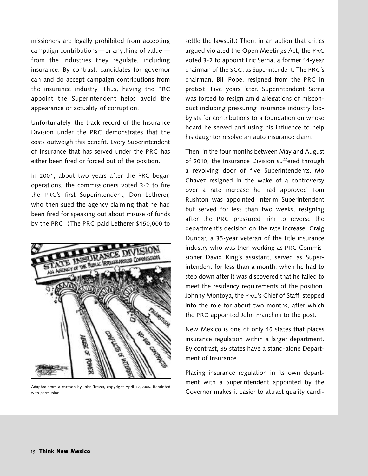missioners are legally prohibited from accepting campaign contributions —or anything of value from the industries they regulate, including insurance. By contrast, candidates for governor can and do accept campaign contributions from the insurance industry. Thus, having the PRC appoint the Superintendent helps avoid the appearance or actuality of corruption.

Unfortunately, the track record of the Insurance Division under the PRC demonstrates that the costs outweigh this benefit. Every Superintendent of Insurance that has served under the PRC has either been fired or forced out of the position.

In 2001, about two years after the PRC began operations, the commissioners voted 3-2 to fire the PRC's first Superintendent, Don Letherer, who then sued the agency claiming that he had been fired for speaking out about misuse of funds by the PRC. (The PRC paid Letherer \$150,000 to



with permission.

settle the lawsuit.) Then, in an action that critics argued violated the Open Meetings Act, the PRC voted 3-2 to appoint Eric Serna, a former 14-year chairman of the SCC, as Superintendent. The PRC's chairman, Bill Pope, resigned from the PRC in protest. Five years later, Superintendent Serna was forced to resign amid allegations of misconduct including pressuring insurance industry lobbyists for contributions to a foundation on whose board he served and using his influence to help his daughter resolve an auto insurance claim.

Then, in the four months between May and August of 2010, the Insurance Division suffered through a revolving door of five Superintendents. Mo Chavez resigned in the wake of a controversy over a rate increase he had approved. Tom Rushton was appointed Interim Superintendent but served for less than two weeks, resigning after the PRC pressured him to reverse the department's decision on the rate increase. Craig Dunbar, a 35-year veteran of the title insurance industry who was then working as PRC Commissioner David King's assistant, served as Superintendent for less than a month, when he had to step down after it was discovered that he failed to meet the residency requirements of the position. Johnny Montoya, the PRC's Chief of Staff, stepped into the role for about two months, after which the PRC appointed John Franchini to the post.

New Mexico is one of only 15 states that places insurance regulation within a larger department. By contrast, 35 states have a stand-alone Department of Insurance.

Placing insurance regulation in its own department with a Superintendent appointed by the Adapted from a cartoon by John Trever, copyright April 12, 2006. Reprinted<br>- Governor makes it easier to attract quality candi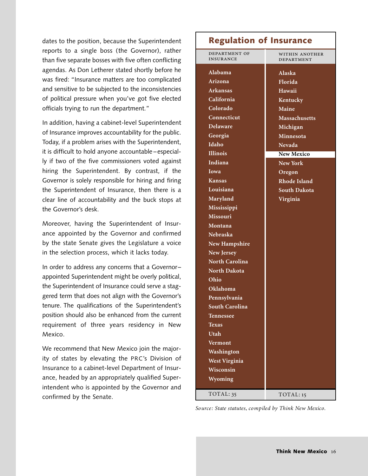dates to the position, because the Superintendent reports to a single boss (the Governor), rather than five separate bosses with five often conflicting agendas. As Don Letherer stated shortly before he was fired: "Insurance matters are too complicated and sensitive to be subjected to the inconsistencies of political pressure when you've got five elected officials trying to run the department."

In addition, having a cabinet-level Superintendent of Insurance improves accountability for the public. Today, if a problem arises with the Superintendent, it is difficult to hold anyone accountable –especially if two of the five commissioners voted against hiring the Superintendent. By contrast, if the Governor is solely responsible for hiring and firing the Superintendent of Insurance, then there is a clear line of accountability and the buck stops at the Governor's desk.

Moreover, having the Superintendent of Insurance appointed by the Governor and confirmed by the state Senate gives the Legislature a voice in the selection process, which it lacks today.

In order to address any concerns that a Governor– appointed Superintendent might be overly political, the Superintendent of Insurance could serve a staggered term that does not align with the Governor's tenure. The qualifications of the Superintendent's position should also be enhanced from the current requirement of three years residency in New Mexico.

We recommend that New Mexico join the majority of states by elevating the PRC's Division of Insurance to a cabinet-level Department of Insurance, headed by an appropriately qualified Superintendent who is appointed by the Governor and confirmed by the Senate.

# **Regulation of Insurance**

| DEPARTMENT OF<br><b>INSURANCE</b> | WITHIN ANOTHER<br>DEPARTMENT |
|-----------------------------------|------------------------------|
| Alabama                           | Alaska                       |
| Arizona                           | Florida                      |
| Arkansas                          | Hawaii                       |
| California                        | Kentucky                     |
| Colorado                          | Maine                        |
| Connecticut                       | Massachusetts                |
| <b>Delaware</b>                   | Michigan                     |
| Georgia                           | Minnesota                    |
| Idaho                             | <b>Nevada</b>                |
| <b>Illinois</b>                   | <b>New Mexico</b>            |
| Indiana                           | <b>New York</b>              |
| <b>Iowa</b>                       | Oregon                       |
| <b>Kansas</b>                     | <b>Rhode Island</b>          |
| Louisiana                         | <b>South Dakota</b>          |
| Maryland                          | Virginia                     |
| Mississippi                       |                              |
| <b>Missouri</b>                   |                              |
| Montana                           |                              |
| Nebraska                          |                              |
| <b>New Hampshire</b>              |                              |
| New Jersey                        |                              |
| North Carolina                    |                              |
| <b>North Dakota</b>               |                              |
| Ohio                              |                              |
| Oklahoma                          |                              |
| Pennsylvania                      |                              |
| <b>South Carolina</b>             |                              |
| Tennessee                         |                              |
| <b>Texas</b>                      |                              |
| <b>Utah</b>                       |                              |
| Vermont                           |                              |
| Washington                        |                              |
| <b>West Virginia</b>              |                              |
| Wisconsin                         |                              |
| Wyoming                           |                              |
| TOTAL: 35                         | TOTAL: 15                    |

*Source: State statutes, compiled by Think New Mexico.*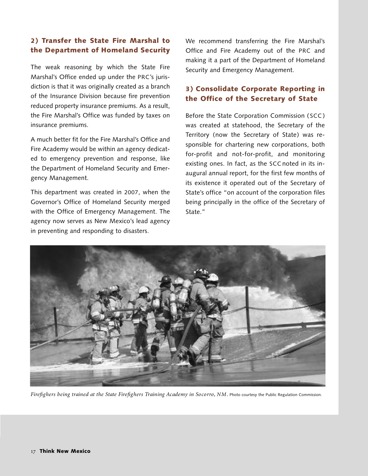## **2) Transfer the State Fire Marshal to the Department of Homeland Security**

The weak reasoning by which the State Fire Marshal's Office ended up under the PRC's jurisdiction is that it was originally created as a branch of the Insurance Division because fire prevention reduced property insurance premiums. As a result, the Fire Marshal's Office was funded by taxes on insurance premiums.

A much better fit for the Fire Marshal's Office and Fire Academy would be within an agency dedicated to emergency prevention and response, like the Department of Homeland Security and Emergency Management.

This department was created in 2007, when the Governor's Office of Homeland Security merged with the Office of Emergency Management. The agency now serves as New Mexico's lead agency in preventing and responding to disasters.

We recommend transferring the Fire Marshal's Office and Fire Academy out of the PRC and making it a part of the Department of Homeland Security and Emergency Management.

## **3) Consolidate Corporate Reporting in the Office of the Secretary of State**

Before the State Corporation Commission ( SCC ) was created at statehood, the Secretary of the Territory (now the Secretary of State) was responsible for chartering new corporations, both for-profit and not-for-profit, and monitoring existing ones. In fact, as the SCC noted in its inaugural annual report, for the first few months of its existence it operated out of the Secretary of State's office "on account of the corporation files being principally in the office of the Secretary of State."



*Firefighers being trained at the State Firefighers Training Academy in Socorro, NM.* Photo courtesy the Public Regulation Commission.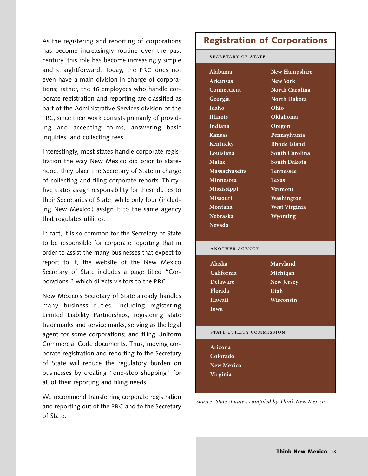As the registering and reporting of corporations has become increasingly routine over the past century, this role has become increasingly simple and straightforward. Today, the PRC does not even have a main division in charge of corporations; rather, the 16 employees who handle corporate registration and reporting are classified as part of the Administrative Services division of the PRC, since their work consists primarily of providing and accepting forms, answering basic inquiries, and collecting fees.

Interestingly, most states handle corporate registration the way New Mexico did prior to statehood: they place the Secretary of State in charge of collecting and filing corporate reports. Thirtyfive states assign responsibility for these duties to their Secretaries of State, while only four (including New Mexico) assign it to the same agency that regulates utilities.

In fact, it is so common for the Secretary of State to be responsible for corporate reporting that in order to assist the many businesses that expect to report to it, the website of the New Mexico Secretary of State includes a page titled "Corporations," which directs visitors to the PRC.

New Mexico's Secretary of State already handles many business duties, including registering Limited Liability Partnerships; registering state trademarks and service marks; serving as the legal agent for some corporations; and filing Uniform Commercial Code documents. Thus, moving corporate registration and reporting to the Secretary of State will reduce the regulatory burden on businesses by creating "one-stop shopping" for all of their reporting and filing needs.

We recommend transferring corporate registration and reporting out of the PRC and to the Secretary of State.

# **Registration of Corporations**

SECRETARY OF STATE

| Alabama              | <b>New Hampshire</b>  |
|----------------------|-----------------------|
| Arkansas             | <b>New York</b>       |
| Connecticut          | <b>North Carolina</b> |
| Georgia              | North Dakota          |
| Idaho                | Ohio                  |
| <b>Illinois</b>      | Oklahoma              |
| Indiana              | Oregon                |
| Kansas               | Pennsylvania          |
| Kentucky             | Rhode Island          |
| Louisiana            | South Carolina        |
| Maine                | <b>South Dakota</b>   |
| <b>Massachusetts</b> | <b>Tennessee</b>      |
| Minnesota            | Texas                 |
| Mississippi          | Vermont               |
| <b>Missouri</b>      | Washington            |
| Montana              | <b>West Virginia</b>  |
| <b>Nebraska</b>      | Wyoming               |
| Nevada               |                       |

#### ANOTHER AGENCY

**Alaska California Delaware Florida Hawaii Iowa**

**Maryland Michigan New Jersey Utah Wisconsin**

#### STATE UTILITY COMMISSION

**Arizona Colorado New Mexico Virginia**

*Source: State statutes, compiled by Think New Mexico.*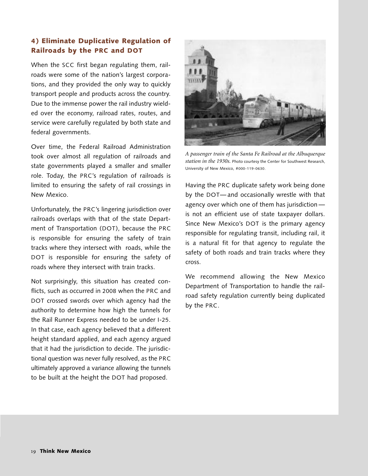## **4 ) Eliminate Duplicative Regulation of Railroads by the PRC and DOT**

When the SCC first began regulating them, railroads were some of the nation's largest corporations, and they provided the only way to quickly transport people and products across the country. Due to the immense power the rail industry wielded over the economy, railroad rates, routes, and service were carefully regulated by both state and federal governments.

Over time, the Federal Railroad Administration took over almost all regulation of railroads and state governments played a smaller and smaller role. Today, the PRC's regulation of railroads is limited to ensuring the safety of rail crossings in New Mexico.

Unfortunately, the PRC's lingering jurisdiction over railroads overlaps with that of the state Department of Transportation (DOT), because the PRC is responsible for ensuring the safety of train tracks where they intersect with roads, while the DOT is responsible for ensuring the safety of roads where they intersect with train tracks.

Not surprisingly, this situation has created conflicts, such as occurred in 2008 when the PRC and DOT crossed swords over which agency had the authority to determine how high the tunnels for the Rail Runner Express needed to be under I-25. In that case, each agency believed that a different height standard applied, and each agency argued that it had the jurisdiction to decide. The jurisdictional question was never fully resolved, as the PRC ultimately approved a variance allowing the tunnels to be built at the height the DOT had proposed.



*<sup>A</sup> passenger train of the Santa Fe Railroad at the Albuquerque station in the 1930s.* Photo courtesy the Center for Southwest Research, University of New Mexico, #000-119-0630.

Having the PRC duplicate safety work being done by the DOT— and occasionally wrestle with that agency over which one of them has jurisdiction is not an efficient use of state taxpayer dollars. Since New Mexico's DOT is the primary agency responsible for regulating transit, including rail, it is a natural fit for that agency to regulate the safety of both roads and train tracks where they cross.

We recommend allowing the New Mexico Department of Transportation to handle the railroad safety regulation currently being duplicated by the PRC.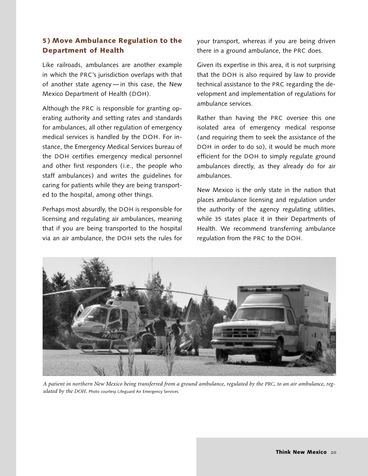## **5 ) Move Ambulance Regulation to the Department of Health**

Like railroads, ambulances are another example in which the PRC's jurisdiction overlaps with that of another state agency — in this case, the New Mexico Department of Health (DOH).

Although the PRC is responsible for granting operating authority and setting rates and standards for ambulances, all other regulation of emergency medical services is handled by the DOH. For instance, the Emergency Medical Services bureau of the DOH certifies emergency medical personnel and other first responders (i.e., the people who staff ambulances) and writes the guidelines for caring for patients while they are being transported to the hospital, among other things.

Perhaps most absurdly, the DOH is responsible for licensing and regulating air ambulances, meaning that if you are being transported to the hospital via an air ambulance, the DOH sets the rules for

your transport, whereas if you are being driven there in a ground ambulance, the PRC does.

Given its expertise in this area, it is not surprising that the DOH is also required by law to provide technical assistance to the PRC regarding the development and implementation of regulations for ambulance services.

Rather than having the PRC oversee this one isolated area of emergency medical response (and requiring them to seek the assistance of the DOH in order to do so), it would be much more efficient for the DOH to simply regulate ground ambulances directly, as they already do for air ambulances.

New Mexico is the only state in the nation that places ambulance licensing and regulation under the authority of the agency regulating utilities, while 35 states place it in their Departments of Health. We recommend transferring ambulance regulation from the PRC to the DOH.



A patient in northern New Mexico being transferred from a ground ambulance, regulated by the PRC, to an air ambulance, reg*ulated by the DOH.* Photo courtesy Lifeguard Air Emergency Services.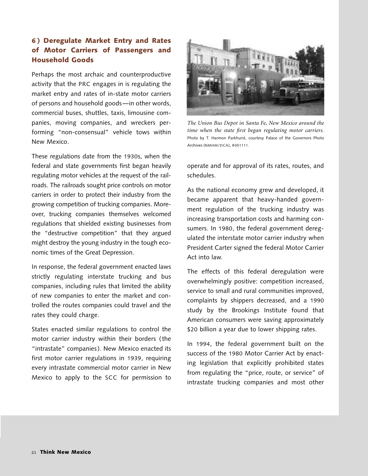## **6 ) Deregulate Market Entry and Rates of Motor Carriers of Passengers and Household Goods**

Perhaps the most archaic and counterproductive activity that the PRC engages in is regulating the market entry and rates of in-state motor carriers of persons and household goods—in other words, commercial buses, shuttles, taxis, limousine companies, moving companies, and wreckers performing "non-consensual" vehicle tows within New Mexico.

These regulations date from the 1930s, when the federal and state governments first began heavily regulating motor vehicles at the request of the railroads. The railroads sought price controls on motor carriers in order to protect their industry from the growing competition of trucking companies. Moreover, trucking companies themselves welcomed regulations that shielded existing businesses from the "destructive competition" that they argued might destroy the young industry in the tough economic times of the Great Depression.

In response, the federal government enacted laws strictly regulating interstate trucking and bus companies, including rules that limited the ability of new companies to enter the market and controlled the routes companies could travel and the rates they could charge.

States enacted similar regulations to control the motor carrier industry within their borders (the "intrastate" companies). New Mexico enacted its first motor carrier regulations in 1939, requiring every intrastate commercial motor carrier in New Mexico to apply to the SCC for permission to



*The Union Bus Depot in Santa Fe, New Mexico around the time when the state first began regulating motor carriers.* Photo by T. Harmon Parkhurst, courtesy Palace of the Governors Photo Archives (NMHM/DCA), #051111.

operate and for approval of its rates, routes, and schedules.

As the national economy grew and developed, it became apparent that heavy-handed government regulation of the trucking industry was increasing transportation costs and harming consumers. In 1980, the federal government deregulated the interstate motor carrier industry when President Carter signed the federal Motor Carrier Act into law.

The effects of this federal deregulation were overwhelmingly positive: competition increased, service to small and rural communities improved, complaints by shippers decreased, and a 1990 study by the Brookings Institute found that American consumers were saving approximately \$20 billion a year due to lower shipping rates.

In 1994, the federal government built on the success of the 1980 Motor Carrier Act by enacting legislation that explicitly prohibited states from regulating the "price, route, or service" of intrastate trucking companies and most other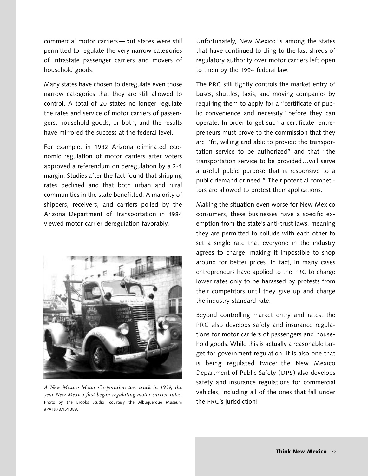commercial motor carriers —but states were still permitted to regulate the very narrow categories of intrastate passenger carriers and movers of household goods.

Many states have chosen to deregulate even those narrow categories that they are still allowed to control. A total of 20 states no longer regulate the rates and service of motor carriers of passengers, household goods, or both, and the results have mirrored the success at the federal level.

For example, in 1982 Arizona eliminated economic regulation of motor carriers after voters approved a referendum on deregulation by a 2-1 margin. Studies after the fact found that shipping rates declined and that both urban and rural communities in the state benefitted. A majority of shippers, receivers, and carriers polled by the Arizona Department of Transportation in 1984 viewed motor carrier deregulation favorably.



*A New Mexico Motor Corporation tow truck in 1939, the year New Mexico first began regulating motor carrier rates.* Photo by the Brooks Studio, courtesy the Albuquerque Museum #PA1978.151.389.

Unfortunately, New Mexico is among the states that have continued to cling to the last shreds of regulatory authority over motor carriers left open to them by the 1994 federal law.

The PRC still tightly controls the market entry of buses, shuttles, taxis, and moving companies by requiring them to apply for a "certificate of public convenience and necessity" before they can operate. In order to get such a certificate, entrepreneurs must prove to the commission that they are "fit, willing and able to provide the transportation service to be authorized" and that "the transportation service to be provided…will serve a useful public purpose that is responsive to a public demand or need." Their potential competitors are allowed to protest their applications.

Making the situation even worse for New Mexico consumers, these businesses have a specific exemption from the state's anti-trust laws, meaning they are permitted to collude with each other to set a single rate that everyone in the industry agrees to charge, making it impossible to shop around for better prices. In fact, in many cases entrepreneurs have applied to the PRC to charge lower rates only to be harassed by protests from their competitors until they give up and charge the industry standard rate.

Beyond controlling market entry and rates, the PRC also develops safety and insurance regulations for motor carriers of passengers and household goods. While this is actually a reasonable target for government regulation, it is also one that is being regulated twice: the New Mexico Department of Public Safety (DPS ) also develops safety and insurance regulations for commercial vehicles, including all of the ones that fall under the PRC's jurisdiction!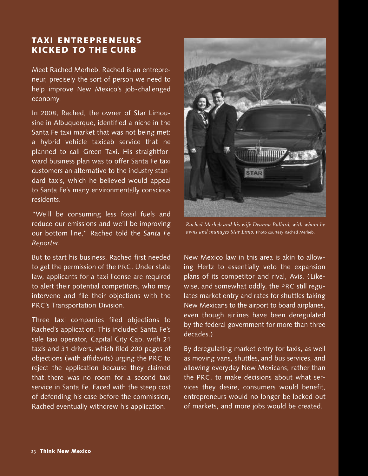# **TAXI ENTREPRENEURS KICKED TO THE CURB**

Meet Rached Merheb. Rached is an entrepreneur, precisely the sort of person we need to help improve New Mexico's job-challenged economy.

In 2008, Rached, the owner of Star Limousine in Albuquerque, identified a niche in the Santa Fe taxi market that was not being met: a hybrid vehicle taxicab service that he planned to call Green Taxi. His straightforward business plan was to offer Santa Fe taxi customers an alternative to the industry standard taxis, which he believed would appeal to Santa Fe's many environmentally conscious residents.

"We'll be consuming less fossil fuels and reduce our emissions and we'll be improving our bottom line," Rached told the *Santa Fe Reporter.*

But to start his business, Rached first needed to get the permission of the PRC. Under state law, applicants for a taxi license are required to alert their potential competitors, who may intervene and file their objections with the PRC's Transportation Division.

Three taxi companies filed objections to Rached's application. This included Santa Fe's sole taxi operator, Capital City Cab, with 21 taxis and 31 drivers, which filed 200 pages of objections (with affidavits) urging the PRC to reject the application because they claimed that there was no room for a second taxi service in Santa Fe. Faced with the steep cost of defending his case before the commission, Rached eventually withdrew his application.



*Rached Merheb and his wife Deanna Ballard, with whom he owns and manages Star Limo.* Photo courtesy Rached Merheb.

New Mexico law in this area is akin to allowing Hertz to essentially veto the expansion plans of its competitor and rival, Avis. ( Likewise, and somewhat oddly, the PRC still regulates market entry and rates for shuttles taking New Mexicans to the airport to board airplanes, even though airlines have been deregulated by the federal government for more than three decades.)

By deregulating market entry for taxis, as well as moving vans, shuttles, and bus services, and allowing everyday New Mexicans, rather than the PRC, to make decisions about what services they desire, consumers would benefit, entrepreneurs would no longer be locked out of markets, and more jobs would be created.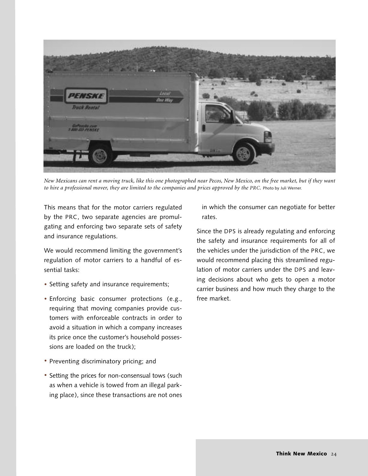

New Mexicans can rent a moving truck, like this one photographed near Pecos, New Mexico, on the free market, but if they want to hire a professional mover, they are limited to the companies and prices approved by the PRC. Photo by Juli Werner.

This means that for the motor carriers regulated by the PRC, two separate agencies are promulgating and enforcing two separate sets of safety and insurance regulations.

We would recommend limiting the government's regulation of motor carriers to a handful of essential tasks:

- Setting safety and insurance requirements; **·**
- Enforcing basic consumer protections (e.g., **·** requiring that moving companies provide customers with enforceable contracts in order to avoid a situation in which a company increases its price once the customer's household possessions are loaded on the truck);
- Preventing discriminatory pricing; and **·**
- Setting the prices for non-consensual tows (such as when a vehicle is towed from an illegal parking place), since these transactions are not ones

in which the consumer can negotiate for better rates.

Since the DPS is already regulating and enforcing the safety and insurance requirements for all of the vehicles under the jurisdiction of the PRC, we would recommend placing this streamlined regulation of motor carriers under the DPS and leaving decisions about who gets to open a motor carrier business and how much they charge to the free market.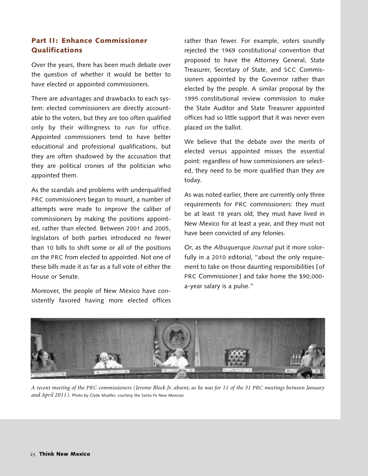## **Part II: Enhance Commissioner Qualifications**

Over the years, there has been much debate over the question of whether it would be better to have elected or appointed commissioners.

There are advantages and drawbacks to each system: elected commissioners are directly accountable to the voters, but they are too often qualified only by their willingness to run for office. Appointed commissioners tend to have better educational and professional qualifications, but they are often shadowed by the accusation that they are political cronies of the politician who appointed them.

As the scandals and problems with underqualified PRC commissioners began to mount, a number of attempts were made to improve the caliber of commissioners by making the positions appointed, rather than elected. Between 2001 and 2005, legislators of both parties introduced no fewer than 10 bills to shift some or all of the positions on the PRC from elected to appointed. Not one of these bills made it as far as a full vote of either the House or Senate.

Moreover, the people of New Mexico have consistently favored having more elected offices rather than fewer. For example, voters soundly rejected the 1969 constitutional convention that proposed to have the Attorney General, State Treasurer, Secretary of State, and SCC Commissioners appointed by the Governor rather than elected by the people. A similar proposal by the 1995 constitutional review commission to make the State Auditor and State Treasurer appointed offices had so little support that it was never even placed on the ballot.

We believe that the debate over the merits of elected versus appointed misses the essential point: regardless of how commissioners are selected, they need to be more qualified than they are today.

As was noted earlier, there are currently only three requirements for PRC commissioners: they must be at least 18 years old, they must have lived in New Mexico for at least a year, and they must not have been convicted of any felonies.

Or, as the *Albuquerque Journal* put it more colorfully in a 2010 editorial, "about the only requirement to take on those daunting responsibilities [of PRC Commissioner ] and take home the \$90,000 a-year salary is a pulse."



A recent meeting of the PRC commissioners (Jerome Block Jr. absent, as he was for 11 of the 31 PRC meetings between January *and April 2011).* Photo by Clyde Mueller, courtesy the Santa Fe New Mexican.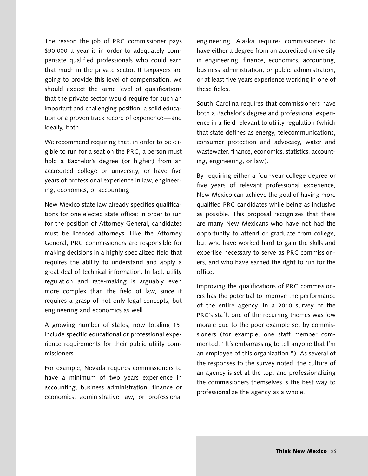The reason the job of PRC commissioner pays \$90,000 a year is in order to adequately compensate qualified professionals who could earn that much in the private sector. If taxpayers are going to provide this level of compensation, we should expect the same level of qualifications that the private sector would require for such an important and challenging position: a solid education or a proven track record of experience —and ideally, both.

We recommend requiring that, in order to be eligible to run for a seat on the PRC, a person must hold a Bachelor's degree (or higher) from an accredited college or university, or have five years of professional experience in law, engineering, economics, or accounting.

New Mexico state law already specifies qualifications for one elected state office: in order to run for the position of Attorney General, candidates must be licensed attorneys. Like the Attorney General, PRC commissioners are responsible for making decisions in a highly specialized field that requires the ability to understand and apply a great deal of technical information. In fact, utility regulation and rate-making is arguably even more complex than the field of law, since it requires a grasp of not only legal concepts, but engineering and economics as well.

A growing number of states, now totaling 15, include specific educational or professional experience requirements for their public utility commissioners.

For example, Nevada requires commissioners to have a minimum of two years experience in accounting, business administration, finance or economics, administrative law, or professional

engineering. Alaska requires commissioners to have either a degree from an accredited university in engineering, finance, economics, accounting, business administration, or public administration, or at least five years experience working in one of these fields.

South Carolina requires that commissioners have both a Bachelor's degree and professional experience in a field relevant to utility regulation (which that state defines as energy, telecommunications, consumer protection and advocacy, water and wastewater, finance, economics, statistics, accounting, engineering, or law).

By requiring either a four-year college degree or five years of relevant professional experience, New Mexico can achieve the goal of having more qualified PRC candidates while being as inclusive as possible. This proposal recognizes that there are many New Mexicans who have not had the opportunity to attend or graduate from college, but who have worked hard to gain the skills and expertise necessary to serve as PRC commissioners, and who have earned the right to run for the office.

Improving the qualifications of PRC commissioners has the potential to improve the performance of the entire agency. In a 2010 survey of the PRC's staff, one of the recurring themes was low morale due to the poor example set by commissioners (for example, one staff member commented: "It's embarrassing to tell anyone that I'm an employee of this organization."). As several of the responses to the survey noted, the culture of an agency is set at the top, and professionalizing the commissioners themselves is the best way to professionalize the agency as a whole.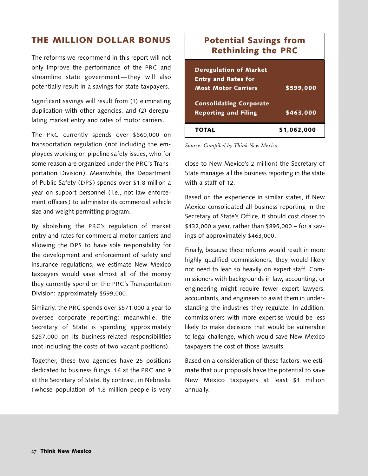# **THE MILLION DOLLAR BONUS**

The reforms we recommend in this report will not only improve the performance of the PRC and streamline state government—they will also potentially result in a savings for state taxpayers.

Significant savings will result from (1) eliminating duplication with other agencies, and (2) deregulating market entry and rates of motor carriers.

The PRC currently spends over \$660,000 on transportation regulation (not including the employees working on pipeline safety issues, who for some reason are organized under the PRC's Transportation Division). Meanwhile, the Department of Public Safety (DPS) spends over \$1.8 million a year on support personnel ( i.e., not law enforcement officers) to administer its commercial vehicle size and weight permitting program.

By abolishing the PRC's regulation of market entry and rates for commercial motor carriers and allowing the DPS to have sole responsibility for the development and enforcement of safety and insurance regulations, we estimate New Mexico taxpayers would save almost all of the money they currently spend on the PRC's Transportation Division: approximately \$599,000.

Similarly, the PRC spends over \$571,000 a year to oversee corporate reporting; meanwhile, the Secretary of State is spending approximately \$257,000 on its business-related responsibilities (not including the costs of two vacant positions).

Together, these two agencies have 25 positions dedicated to business filings, 16 at the PRC and 9 at the Secretary of State. By contrast, in Nebraska (whose population of 1.8 million people is very

# **Potential Savings from Rethinking the PRC**

| <b>Deregulation of Market</b><br><b>Entry and Rates for</b><br><b>Most Motor Carriers</b> | \$599,000   |
|-------------------------------------------------------------------------------------------|-------------|
| <b>Consolidating Corporate</b><br><b>Reporting and Filing</b>                             | \$463,000   |
| TOTAL                                                                                     | \$1,062,000 |

*Source: Compiled by Think New Mexico.*

close to New Mexico's 2 million) the Secretary of State manages all the business reporting in the state with a staff of 12.

Based on the experience in similar states, if New Mexico consolidated all business reporting in the Secretary of State's Office, it should cost closer to \$432,000 a year, rather than \$895,000 – for a savings of approximately \$463,000.

Finally, because these reforms would result in more highly qualified commissioners, they would likely not need to lean so heavily on expert staff. Commissioners with backgrounds in law, accounting, or engineering might require fewer expert lawyers, accountants, and engineers to assist them in understanding the industries they regulate. In addition, commissioners with more expertise would be less likely to make decisions that would be vulnerable to legal challenge, which would save New Mexico taxpayers the cost of those lawsuits.

Based on a consideration of these factors, we estimate that our proposals have the potential to save New Mexico taxpayers at least \$1 million annually.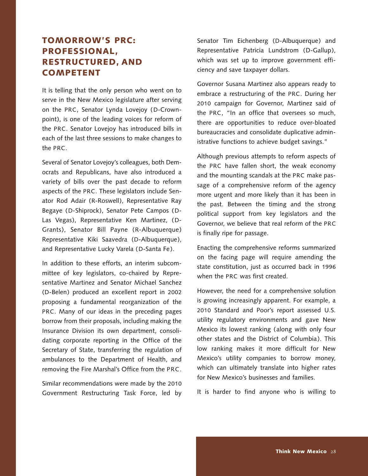# **TOMORROW'S PRC: PROFESSIONAL, RESTRUCTURED, AND COMPETENT**

It is telling that the only person who went on to serve in the New Mexico legislature after serving on the PRC, Senator Lynda Lovejoy (D-Crownpoint), is one of the leading voices for reform of the PRC. Senator Lovejoy has introduced bills in each of the last three sessions to make changes to the PRC.

Several of Senator Lovejoy's colleagues, both Democrats and Republicans, have also introduced a variety of bills over the past decade to reform aspects of the PRC. These legislators include Senator Rod Adair (R-Roswell), Representative Ray Begaye (D-Shiprock), Senator Pete Campos (D-Las Vegas), Representative Ken Martinez, (D-Grants), Senator Bill Payne (R-Albuquerque) Representative Kiki Saavedra (D-Albuquerque), and Representative Lucky Varela (D-Santa Fe ).

In addition to these efforts, an interim subcommittee of key legislators, co-chaired by Representative Martinez and Senator Michael Sanchez (D-Belen) produced an excellent report in 2002 proposing a fundamental reorganization of the PRC. Many of our ideas in the preceding pages borrow from their proposals, including making the Insurance Division its own department, consolidating corporate reporting in the Office of the Secretary of State, transferring the regulation of ambulances to the Department of Health, and removing the Fire Marshal's Office from the PRC.

Similar recommendations were made by the 2010 Government Restructuring Task Force, led by Senator Tim Eichenberg (D-Albuquerque) and Representative Patricia Lundstrom (D-Gallup), which was set up to improve government efficiency and save taxpayer dollars.

Governor Susana Martinez also appears ready to embrace a restructuring of the PRC. During her 2010 campaign for Governor, Martinez said of the PRC, "In an office that oversees so much, there are opportunities to reduce over-bloated bureaucracies and consolidate duplicative administrative functions to achieve budget savings."

Although previous attempts to reform aspects of the PRC have fallen short, the weak economy and the mounting scandals at the PRC make passage of a comprehensive reform of the agency more urgent and more likely than it has been in the past. Between the timing and the strong political support from key legislators and the Governor, we believe that real reform of the PRC is finally ripe for passage.

Enacting the comprehensive reforms summarized on the facing page will require amending the state constitution, just as occurred back in 1996 when the PRC was first created.

However, the need for a comprehensive solution is growing increasingly apparent. For example, a 2010 Standard and Poor's report assessed U.S. utility regulatory environments and gave New Mexico its lowest ranking ( along with only four other states and the District of Columbia ). This low ranking makes it more difficult for New Mexico's utility companies to borrow money, which can ultimately translate into higher rates for New Mexico's businesses and families.

It is harder to find anyone who is willing to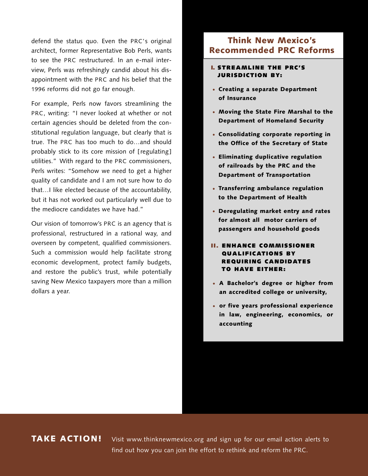defend the status quo. Even the PRC's original architect, former Representative Bob Perls, wants to see the PRC restructured. In an e-mail interview, Perls was refreshingly candid about his disappointment with the PRC and his belief that the 1996 reforms did not go far enough.

For example, Perls now favors streamlining the PRC, writing: "I never looked at whether or not certain agencies should be deleted from the constitutional regulation language, but clearly that is true. The PRC has too much to do…and should probably stick to its core mission of [regulating] utilities." With regard to the PRC commissioners, Perls writes: "Somehow we need to get a higher quality of candidate and I am not sure how to do that…I like elected because of the accountability, but it has not worked out particularly well due to the mediocre candidates we have had."

Our vision of tomorrow's PRC is an agency that is professional, restructured in a rational way, and overseen by competent, qualified commissioners. Such a commission would help facilitate strong economic development, protect family budgets, and restore the public's trust, while potentially saving New Mexico taxpayers more than a million dollars a year.

## **Think New Mexico's Recommended PRC Reforms**

#### **I. STREAMLINE THE PRC'S JURISDICTION BY:**

- **Creating a separate Department · of Insurance**
- **Moving the State Fire Marshal to the · Department of Homeland Security**
- **Consolidating corporate reporting in · the Office of the Secretary of State**
- **Eliminating duplicative regulation · of railroads by the PRC and the Department of Transportation**
- **Transferring ambulance regulation · to the Department of Health**
- **Deregulating market entry and rates · for almost all motor carriers of passengers and household goods**
- **II. ENHANCE COMMISSIONER QUALIFICATIONS BY REQUIRING CANDIDATES TO HAVE EITHER:**
- **A Bachelor's degree or higher from · an accredited college or university,**
- **or five years professional experience · in law, engineering, economics, or accounting**

## **TAKE ACTION!**

Visit www.thinknewmexico.org and sign up for our email action alerts to find out how you can join the effort to rethink and reform the PRC.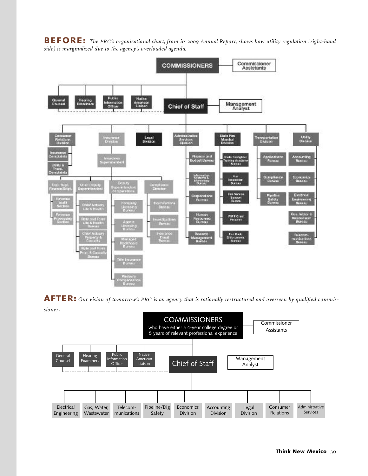**BEFORE:** *The PRC's organizational chart, from its Annual Report, shows how utility regulation (right-hand side) is marginalized due to the agency's overloaded agenda.*



AFTER: Our vision of tomorrow's PRC is an agency that is rationally restructured and overseen by qualified commis*sioners.*

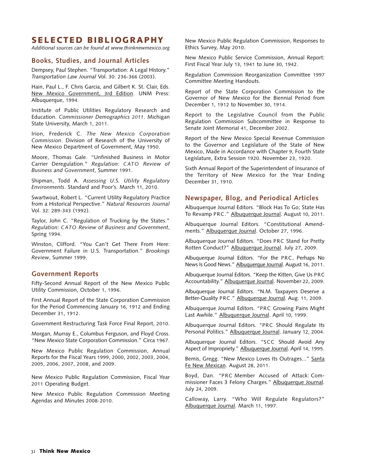## **SELECTED BIBLIOGRAPHY**

*Additional sources can be found at www.thinknewmexico.org*

#### **Books, Studies, and Journal Articles**

Dempsey, Paul Stephen. "Transportation: A Legal History." *Transportation Law Journal* Vol. 30: 236-366 (2003).

Hain, Paul L., F. Chris Garcia, and Gilbert K. St. Clair, Eds. New Mexico Government, 3rd Edition. UNM Press: Albuquerque, 1994.

Institute of Public Utilities Regulatory Research and Education. *Commissioner Demographics 2011*. Michigan State University, March 1, 2011.

Irion, Frederick C. *The New Mexico Corporation Commission*. Division of Research of the University of New Mexico Department of Government, May 1950.

Moore, Thomas Gale. "Unfinished Business in Motor Carrier Deregulation." *Regulation: CATO Review of Business and Government*, Summer 1991.

Shipman, Todd A. *Assessing U.S. Utility Regulatory Environments*. Standard and Poor's. March 11, 2010.

Swartwout, Robert L. "Current Utility Regulatory Practice from a Historical Perspective." *Natural Resources Journal* Vol. 32: 289-343 (1992).

Taylor, John C. "Regulation of Trucking by the States." *Regulation: CATO Review of Business and Government*, Spring 1994.

Winston, Clifford. "You Can't Get There From Here: Government Failure in U.S. Transportation." *Brookings Review*, Summer 1999.

#### **Government Reports**

Fifty-Second Annual Report of the New Mexico Public Utility Commission, October 1, 1996.

First Annual Report of the State Corporation Commission for the Period Commencing January 16, 1912 and Ending December 31, 1912.

Government Restructuring Task Force Final Report, 2010.

Morgan, Murray E., Columbus Ferguson, and Floyd Cross. "New Mexico State Corporation Commission." Circa 1967.

New Mexico Public Regulation Commission, Annual Reports for the Fiscal Years 1999, 2000, 2002, 2003, 2004, 2005, 2006, 2007, 2008, and 2009.

New Mexico Public Regulation Commission, Fiscal Year 2011 Operating Budget.

New Mexico Public Regulation Commission Meeting Agendas and Minutes 2008-2010.

New Mexico Public Regulation Commission, Responses to Ethics Survey, May 2010.

New Mexico Public Service Commission, Annual Report: First Fiscal Year July 13, 1941 to June 30, 1942.

Regulation Commission Reorganization Committee 1997 Committee Meeting Handouts.

Report of the State Corporation Commission to the Governor of New Mexico for the Biennial Period from December 1, 1912 to November 30, 1914.

Report to the Legislative Council from the Public Regulation Commission Subcommittee in Response to Senate Joint Memorial 41, December 2002.

Report of the New Mexico Special Revenue Commission to the Governor and Legislature of the State of New Mexico, Made in Accordance with Chapter 9, Fourth State Legislature, Extra Session 1920. November 23, 1920.

Sixth Annual Report of the Superintendent of Insurance of the Territory of New Mexico for the Year Ending December 31, 1910.

#### **Newspaper, Blog, and Periodical Articles**

Albuquerque Journal Editors. "Block Has To Go; State Has To Revamp PRC." Albuquerque Journal. August 10, 2011.

Albuquerque Journal Editors. "Constitutional Amendments." Albuquerque Journal. October 27, 1996.

Albuquerque Journal Editors. "Does PRC Stand for Pretty Rotten Conduct?" Albuquerque Journal. July 27, 2009.

Albuquerque Journal Editors. "For the PRC, Perhaps No News Is Good News." Albuquerque Journal. August 16, 2011.

Albuquerque Journal Editors. "Keep the Kitten, Give Us PRC Accountability." Albuquerque Journal. November 22, 2009.

Albuquerque Journal Editors. "N.M. Taxpayers Deserve a Better-Quality PRC." Albuquerque Journal. Aug. 11, 2009.

Albuquerque Journal Editors. "PRC Growing Pains Might Last Awhile." Albuquerque Journal. April 10, 1999.

Albuquerque Journal Editors. "PRC Should Regulate Its Personal Politics." Albuquerque Journal. January 12, 2004.

Albuquerque Journal Editors. "SCC Should Avoid Any Aspect of Impropriety." Albuquerque Journal. April 14, 1995.

Bemis, Gregg. "New Mexico Loves Its Outrages..." Santa Fe New Mexican. August 28, 2011.

Boyd, Dan. "PRC Member Accused of Attack: Commissioner Faces 3 Felony Charges." Albuquerque Journal. July 24, 2009.

Calloway, Larry. "Who Will Regulate Regulators?" Albuquerque Journal. March 11, 1997.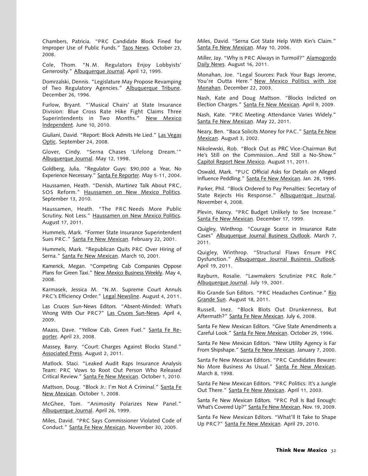Chambers, Patricia. "PRC Candidate Block Fined for Improper Use of Public Funds." Taos News. October 23, 2008.

Cole, Thom. "N.M. Regulators Enjoy Lobbyists' Generosity." Albuquerque Journal. April 12, 1995.

Domrzalski, Dennis. "Legislature May Propose Revamping of Two Regulatory Agencies." Albuquerque Tribune. December 26, 1996.

Furlow, Bryant. "'Musical Chairs' at State Insurance Division: Blue Cross Rate Hike Fight Claims Three Superintendents in Two Months." New Mexico Independent. June 10, 2010.

Giuliani, David. "Report: Block Admits He Lied." Las Vegas Optic. September 24, 2008.

Glover, Cindy. "Serna Chases 'Lifelong Dream.'" Albuquerque Journal. May 12, 1998.

Goldberg, Julia. "Regulator Guys: \$90,000 a Year, No Experience Necessary." Santa Fe Reporter. May 5-11, 2004.

Haussamen, Heath. "Denish, Martinez Talk About PRC, SOS Reform." Haussamen on New Mexico Politics. September 13, 2010.

Haussamen, Heath. "The PRC Needs More Public Scrutiny, Not Less." Haussamen on New Mexico Politics. August 17, 2011.

Hummels, Mark. "Former State Insurance Superintendent Sues PRC." Santa Fe New Mexican. February 22, 2001.

Hummels, Mark. "Republican Quits PRC Over Hiring of Serna." Santa Fe New Mexican. March 10, 2001.

Kamerick, Megan. "Competing Cab Companies Oppose Plans for Green Taxi." New Mexico Business Weekly. May 4, 2008.

Karmasek, Jessica M. "N.M. Supreme Court Annuls PRC's Efficiency Order." Legal Newsline. August 4, 2011.

Las Cruces Sun-News Editors. "Absent-Minded: What's Wrong With Our PRC?" Las Cruces Sun-News. April 4, 2009.

Maass, Dave. "Yellow Cab, Green Fuel." Santa Fe Reporter. April 23, 2008.

Massey, Barry. "Court: Charges Against Blocks Stand." Associated Press. August 2, 2011.

Matlock. Staci. "Leaked Audit Raps Insurance Analysis Team: PRC Vows to Root Out Person Who Released Critical Review." Santa Fe New Mexican. October 1, 2010.

Mattson, Doug. "Block Jr.: I'm Not A Criminal." Santa Fe New Mexican. October 1, 2008.

McGhee, Tom. "Animosity Polarizes New Panel." Albuquerque Journal. April 26, 1999.

Miles, David. "PRC Says Commissioner Violated Code of Conduct." Santa Fe New Mexican. November 30, 2005.

Miles, David. "Serna Got State Help With Kin's Claim." Santa Fe New Mexican. May 10, 2006.

Miller, Jay. "Why is PRC Always in Turmoil?" Alamogordo Daily News. August 16, 2011.

Monahan, Joe. "Legal Sources: Pack Your Bags Jerome, You're Outta Here." New Mexico Politics with Joe Monahan. December 22, 2003.

Nash, Kate and Doug Mattson. "Blocks Indicted on Election Charges." Santa Fe New Mexican. April 9, 2009.

Nash, Kate. "PRC Meeting Attendance Varies Widely." Santa Fe New Mexican. May 22, 2011.

Neary, Ben. "Baca Solicits Money for PAC." Santa Fe New Mexican. August 3, 2002.

Nikolewski, Rob. "Block Out as PRC Vice-Chairman But He's Still on the Commission...And Still a No-Show." Capitol Report New Mexico. August 11, 2011.

Oswald, Mark. "PUC Official Asks for Details on Alleged Influence Peddling." Santa Fe New Mexican. Jan. 28, 1995.

Parker, Phil. "Block Ordered to Pay Penalties: Secretary of State Rejects His Response." Albuquerque Journal. November 4, 2008.

Plevin, Nancy. "PRC Budget Unlikely to See Increase." Santa Fe New Mexican. December 17, 1999.

Quigley, Winthrop. "Courage Scarce in Insurance Rate Cases" Albuquerque Journal Business Outlook. March 7, 2011.

Quigley, Winthrop. "Structural Flaws Ensure PRC Dysfunction." Albuquerque Journal Business Outlook. April 19, 2011.

Rayburn, Rosalie. "Lawmakers Scrutinize PRC Role." Albuquerque Journal. July 19, 2001.

Rio Grande Sun Editors. "PRC Headaches Continue." Rio Grande Sun. August 18, 2011.

Russell, Inez. "Block Blots Out Drunkenness, But Aftermath?" Santa Fe New Mexican. July 6, 2008.

Santa Fe New Mexican Editors. "Give State Amendments a Careful Look." Santa Fe New Mexican. October 29, 1996.

Santa Fe New Mexican Editors. "New Utility Agency is Far From Shipshape." Santa Fe New Mexican. January 7, 2000.

Santa Fe New Mexican Editors. "PRC Candidates Beware: No More Business As Usual." Santa Fe New Mexican. March 8, 1998.

Santa Fe New Mexican Editors. "PRC Politics: It's a Jungle Out There." Santa Fe New Mexican. April 11, 2003.

Santa Fe New Mexican Editors. "PRC Poll Is Bad Enough: What's Covered Up?" Santa Fe New Mexican. Nov. 19, 2009.

Santa Fe New Mexican Editors. "What'll It Take to Shape Up PRC?" Santa Fe New Mexican. April 29, 2010.